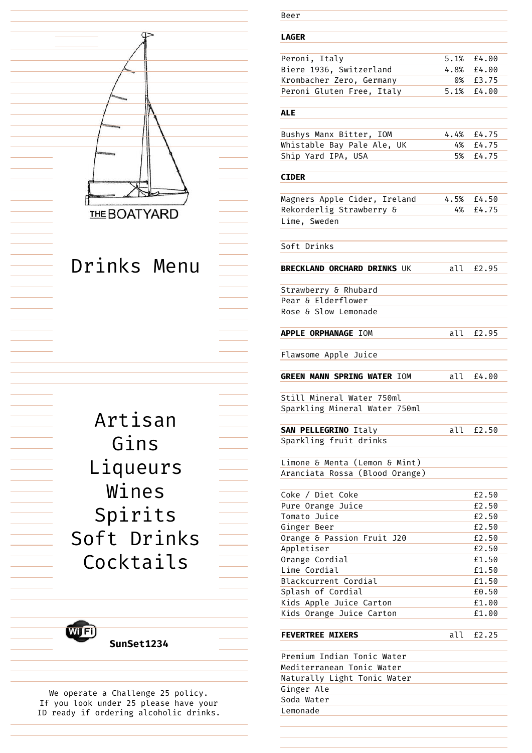

We operate a Challenge 25 policy. If you look under 25 please have your ID ready if ordering alcoholic drinks.

# Beer

|  | ۰. |  |  |
|--|----|--|--|
|  |    |  |  |

| Peroni, Italy             | 5.1% f4.00 |               |
|---------------------------|------------|---------------|
| Biere 1936, Switzerland   |            | 4.8% £4.00    |
| Krombacher Zero, Germany  |            | 0% F3.75      |
| Peroni Gluten Free, Italy |            | $5.1\%$ £4.00 |
|                           |            |               |

### **ALE**

| Bushys Manx Bitter, IOM    | 4.4% £4.75 |
|----------------------------|------------|
| Whistable Bay Pale Ale, UK | 4% £4.75   |
| Ship Yard IPA, USA         | 5% £4.75   |

#### **CIDER**

| Magners Apple Cider, Ireland | 4.5% £4.50 |
|------------------------------|------------|
| Rekorderlig Strawberry &     | 4% £4.75   |
| Lime, Sweden                 |            |

Soft Drinks

**BRECKLAND ORCHARD DRINKS** UK all £2.95

Strawberry & Rhubard Pear & Elderflower Rose & Slow Lemonade

**APPLE ORPHANAGE** IOM all £2.95

Flawsome Apple Juice

**GREEN MANN SPRING WATER** IOM all £4.00

Still Mineral Water 750ml Sparkling Mineral Water 750ml

**SAN PELLEGRINO** Italy all £2.50 Sparkling fruit drinks

Limone & Menta (Lemon & Mint) Aranciata Rossa (Blood Orange)

| Coke / Diet Coke           | £2.50 |
|----------------------------|-------|
| Pure Orange Juice          | £2.50 |
| Tomato Juice               | £2.50 |
| Ginger Beer                | £2.50 |
| Orange & Passion Fruit J20 | £2.50 |
| Appletiser                 | £2.50 |
| Orange Cordial             | £1.50 |
| Lime Cordial               | £1.50 |
| Blackcurrent Cordial       | £1.50 |
| Splash of Cordial          | £0.50 |
| Kids Apple Juice Carton    | £1.00 |
| Kids Orange Juice Carton   | £1.00 |
|                            |       |

## **FEVERTREE MIXERS** all  $f2.25$

Premium Indian Tonic Water Mediterranean Tonic Water Naturally Light Tonic Water Ginger Ale Soda Water Lemonade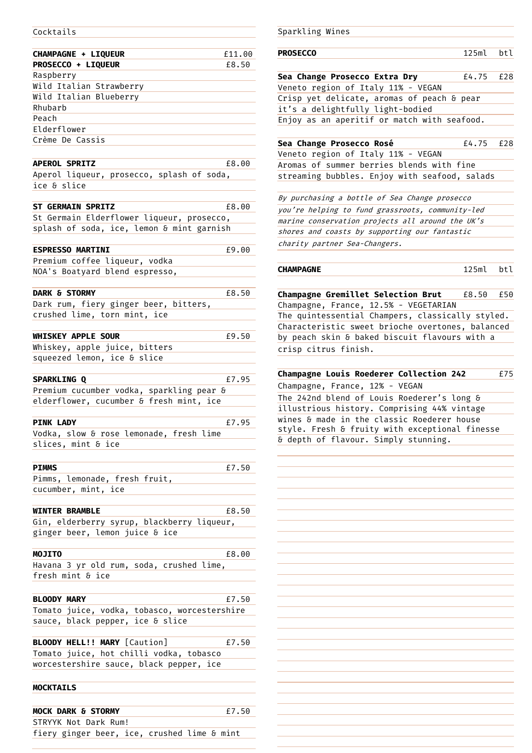#### Cocktails

| CHAMPAGNE + LIQUEUR                          | £11.00 |
|----------------------------------------------|--------|
| PROSECCO + LIQUEUR                           | £8.50  |
| Raspberry                                    |        |
| Wild Italian Strawberry                      |        |
| Wild Italian Blueberry                       |        |
| Rhubarb                                      |        |
| Peach                                        |        |
| Elderflower                                  |        |
| Crème De Cassis                              |        |
|                                              |        |
| <b>APEROL SPRITZ</b>                         | £8.00  |
| Aperol liqueur, prosecco, splash of soda,    |        |
| ice & slice                                  |        |
|                                              |        |
| <b>ST GERMAIN SPRITZ</b>                     | £8.00  |
| St Germain Elderflower liqueur, prosecco,    |        |
| splash of soda, ice, lemon & mint garnish    |        |
|                                              |        |
| <b>ESPRESSO MARTINI</b>                      | £9.00  |
| Premium coffee liqueur, vodka                |        |
| NOA's Boatyard blend espresso,               |        |
|                                              |        |
| <b>DARK &amp; STORMY</b>                     | £8.50  |
| Dark rum, fiery ginger beer, bitters,        |        |
| crushed lime, torn mint, ice                 |        |
|                                              |        |
| <b>WHISKEY APPLE SOUR</b>                    | £9.50  |
| Whiskey, apple juice, bitters                |        |
| squeezed lemon, ice & slice                  |        |
|                                              |        |
|                                              |        |
| <b>SPARKLING Q</b>                           | £7.95  |
| Premium cucumber vodka, sparkling pear &     |        |
| elderflower, cucumber & fresh mint, ice      |        |
|                                              |        |
| <b>PINK LADY</b>                             | £7.95  |
| Vodka, slow & rose lemonade, fresh lime      |        |
| slices, mint & ice                           |        |
|                                              |        |
| <b>PIMMS</b>                                 | £7.50  |
| Pimms, lemonade, fresh fruit,                |        |
| cucumber, mint, ice                          |        |
|                                              |        |
| <b>WINTER BRAMBLE</b>                        | £8.50  |
| Gin, elderberry syrup, blackberry liqueur,   |        |
| ginger beer, lemon juice & ice               |        |
|                                              |        |
| <b>MOJITO</b>                                | £8.00  |
| Havana 3 yr old rum, soda, crushed lime,     |        |
| fresh mint & ice                             |        |
|                                              |        |
| <b>BLOODY MARY</b>                           | £7.50  |
| Tomato juice, vodka, tobasco, worcestershire |        |
| sauce, black pepper, ice & slice             |        |
|                                              |        |
| <b>BLOODY HELL!! MARY</b> [Caution]          | £7.50  |
| Tomato juice, hot chilli vodka, tobasco      |        |
| worcestershire sauce, black pepper, ice      |        |
|                                              |        |
| <b>MOCKTAILS</b>                             |        |
|                                              |        |
| <b>MOCK DARK &amp; STORMY</b>                | £7.50  |

fiery ginger beer, ice, crushed lime & mint

| Sparkling Wines                                  |          |     |
|--------------------------------------------------|----------|-----|
|                                                  |          |     |
| <b>PROSECCO</b>                                  | 125ml    | btl |
| Sea Change Prosecco Extra Dry                    | £4.75    | £28 |
| Veneto region of Italy 11% - VEGAN               |          |     |
| Crisp yet delicate, aromas of peach & pear       |          |     |
| it's a delightfully light-bodied                 |          |     |
| Enjoy as an aperitif or match with seafood.      |          |     |
| Sea Change Prosecco Rosé                         | £4.75    | £28 |
| Veneto region of Italy 11% - VEGAN               |          |     |
| Aromas of summer berries blends with fine        |          |     |
| streaming bubbles. Enjoy with seafood, salads    |          |     |
|                                                  |          |     |
| By purchasing a bottle of Sea Change prosecco    |          |     |
| you're helping to fund grassroots, community-led |          |     |
| marine conservation projects all around the UK's |          |     |
| shores and coasts by supporting our fantastic    |          |     |
| charity partner Sea-Changers.                    |          |     |
|                                                  |          |     |
| <b>CHAMPAGNE</b>                                 | $125m$ l | btl |
| Champagne Gremillet Selection Brut £8.50         |          | £50 |
| Champagne, France, 12.5% - VEGETARIAN            |          |     |
| The quintessential Champers, classically styled. |          |     |
| Characteristic sweet brioche overtones, balanced |          |     |
| by peach skin & baked biscuit flavours with a    |          |     |
| crisp citrus finish.                             |          |     |
|                                                  |          |     |
| Champagne Louis Roederer Collection 242          |          | £75 |
| Champagne, France, 12% - VEGAN                   |          |     |

The 242nd blend of Louis Roederer's long & illustrious history. Comprising 44% vintage wines & made in the classic Roederer house style. Fresh & fruity with exceptional finesse & depth of flavour. Simply stunning.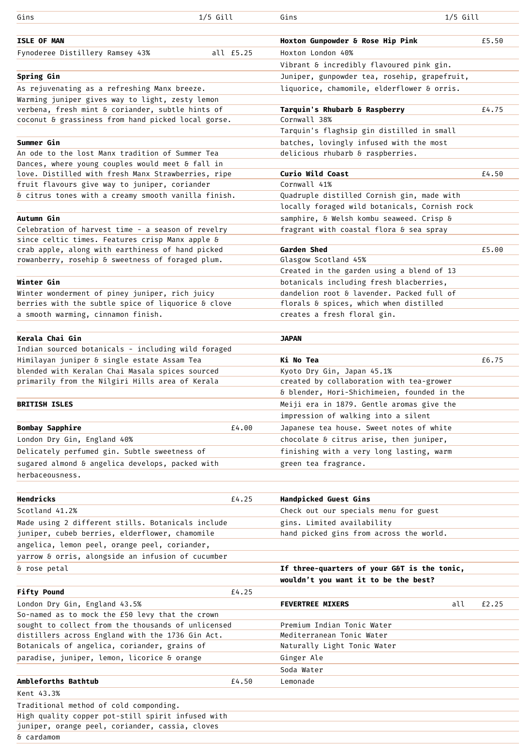| Gins                                                                                                   | $1/5$ Gill | $1/5$ Gill<br>Gins                                                     |       |
|--------------------------------------------------------------------------------------------------------|------------|------------------------------------------------------------------------|-------|
|                                                                                                        |            |                                                                        |       |
| <b>ISLE OF MAN</b>                                                                                     |            | Hoxton Gunpowder & Rose Hip Pink                                       | £5.50 |
| Fynoderee Distillery Ramsey 43%                                                                        | all £5.25  | Hoxton London 40%                                                      |       |
|                                                                                                        |            | Vibrant & incredibly flavoured pink gin.                               |       |
| Spring Gin                                                                                             |            | Juniper, gunpowder tea, rosehip, grapefruit,                           |       |
| As rejuvenating as a refreshing Manx breeze.                                                           |            | liquorice, chamomile, elderflower & orris.                             |       |
| Warming juniper gives way to light, zesty lemon                                                        |            |                                                                        |       |
| verbena, fresh mint & coriander, subtle hints of<br>coconut & grassiness from hand picked local gorse. |            | Tarquin's Rhubarb & Raspberry<br>Cornwall 38%                          | £4.75 |
|                                                                                                        |            | Tarquin's flaghsip gin distilled in small                              |       |
| Summer Gin                                                                                             |            | batches, lovingly infused with the most                                |       |
| An ode to the lost Manx tradition of Summer Tea                                                        |            | delicious rhubarb & raspberries.                                       |       |
| Dances, where young couples would meet & fall in                                                       |            |                                                                        |       |
| love. Distilled with fresh Manx Strawberries, ripe                                                     |            | Curio Wild Coast                                                       | £4.50 |
| fruit flavours give way to juniper, coriander                                                          |            | Cornwall 41%                                                           |       |
| & citrus tones with a creamy smooth vanilla finish.                                                    |            | Quadruple distilled Cornish gin, made with                             |       |
|                                                                                                        |            | locally foraged wild botanicals, Cornish rock                          |       |
| Autumn Gin                                                                                             |            | samphire, & Welsh kombu seaweed. Crisp &                               |       |
| Celebration of harvest time - a season of revelry                                                      |            | fragrant with coastal flora & sea spray                                |       |
| since celtic times. Features crisp Manx apple &<br>crab apple, along with earthiness of hand picked    |            | Garden Shed                                                            | £5.00 |
| rowanberry, rosehip & sweetness of foraged plum.                                                       |            | Glasgow Scotland 45%                                                   |       |
|                                                                                                        |            | Created in the garden using a blend of 13                              |       |
| Winter Gin                                                                                             |            | botanicals including fresh blacberries,                                |       |
| Winter wonderment of piney juniper, rich juicy                                                         |            | dandelion root & lavender. Packed full of                              |       |
| berries with the subtle spice of liquorice & clove                                                     |            | florals & spices, which when distilled                                 |       |
| a smooth warming, cinnamon finish.                                                                     |            | creates a fresh floral gin.                                            |       |
|                                                                                                        |            |                                                                        |       |
| Kerala Chai Gin                                                                                        |            | <b>JAPAN</b>                                                           |       |
| Indian sourced botanicals - including wild foraged                                                     |            |                                                                        |       |
| Himilayan juniper & single estate Assam Tea                                                            |            | Ki No Tea                                                              | £6.75 |
| blended with Keralan Chai Masala spices sourced<br>primarily from the Nilgiri Hills area of Kerala     |            | Kyoto Dry Gin, Japan 45.1%<br>created by collaboration with tea-grower |       |
|                                                                                                        |            | & blender, Hori-Shichimeien, founded in the                            |       |
| <b>BRITISH ISLES</b>                                                                                   |            | Meiji era in 1879. Gentle aromas give the                              |       |
|                                                                                                        |            | impression of walking into a silent                                    |       |
| <b>Bombay Sapphire</b>                                                                                 | £4.00      | Japanese tea house. Sweet notes of white                               |       |
| London Dry Gin, England 40%                                                                            |            | chocolate & citrus arise, then juniper,                                |       |
| Delicately perfumed gin. Subtle sweetness of                                                           |            | finishing with a very long lasting, warm                               |       |
| sugared almond & angelica develops, packed with                                                        |            | green tea fragrance.                                                   |       |
| herbaceousness.                                                                                        |            |                                                                        |       |
|                                                                                                        |            |                                                                        |       |
| Hendricks                                                                                              | £4.25      | Handpicked Guest Gins                                                  |       |
| Scotland 41.2%                                                                                         |            | Check out our specials menu for guest                                  |       |
| Made using 2 different stills. Botanicals include                                                      |            | gins. Limited availability                                             |       |
| juniper, cubeb berries, elderflower, chamomile                                                         |            | hand picked gins from across the world.                                |       |
| angelica, lemon peel, orange peel, coriander,                                                          |            |                                                                        |       |
| yarrow & orris, alongside an infusion of cucumber                                                      |            |                                                                        |       |
| & rose petal                                                                                           |            | If three-quarters of your G&T is the tonic,                            |       |
|                                                                                                        |            | wouldn't you want it to be the best?                                   |       |
| <b>Fifty Pound</b>                                                                                     | £4.25      |                                                                        |       |
| London Dry Gin, England 43.5%                                                                          |            | <b>FEVERTREE MIXERS</b><br>all                                         | £2.25 |
| So-named as to mock the £50 levy that the crown                                                        |            |                                                                        |       |
| sought to collect from the thousands of unlicensed                                                     |            | Premium Indian Tonic Water<br>Mediterranean Tonic Water                |       |
| distillers across England with the 1736 Gin Act.                                                       |            | Naturally Light Tonic Water                                            |       |
| Botanicals of angelica, coriander, grains of<br>paradise, juniper, lemon, licorice & orange            |            | Ginger Ale                                                             |       |
|                                                                                                        |            | Soda Water                                                             |       |
| Ambleforths Bathtub                                                                                    | £4.50      | Lemonade                                                               |       |
| Kent 43.3%                                                                                             |            |                                                                        |       |
| Traditional method of cold componding.                                                                 |            |                                                                        |       |
| High quality copper pot-still spirit infused with                                                      |            |                                                                        |       |
| juniper, orange peel, coriander, cassia, cloves                                                        |            |                                                                        |       |
| & cardamom                                                                                             |            |                                                                        |       |
|                                                                                                        |            |                                                                        |       |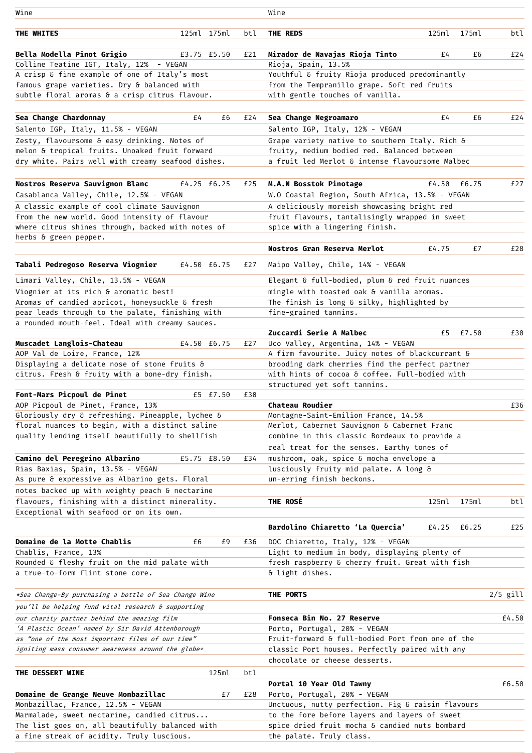| Wine                                                                                                  |    |             |     | Wine                                                                                         |          |       |            |
|-------------------------------------------------------------------------------------------------------|----|-------------|-----|----------------------------------------------------------------------------------------------|----------|-------|------------|
| THE WHITES                                                                                            |    | 125ml 175ml | btl | THE REDS                                                                                     | $125m$ l | 175ml | btl        |
| Bella Modella Pinot Grigio                                                                            |    | £3.75 £5.50 | £21 | Mirador de Navajas Rioja Tinto                                                               | £4       | £6    | £24        |
| Colline Teatine IGT, Italy, 12%<br>- VEGAN                                                            |    |             |     | Rioja, Spain, 13.5%                                                                          |          |       |            |
| A crisp & fine example of one of Italy's most                                                         |    |             |     | Youthful & fruity Rioja produced predominantly                                               |          |       |            |
| famous grape varieties. Dry & balanced with                                                           |    |             |     | from the Tempranillo grape. Soft red fruits                                                  |          |       |            |
| subtle floral aromas & a crisp citrus flavour.                                                        |    |             |     | with gentle touches of vanilla.                                                              |          |       |            |
| Sea Change Chardonnay                                                                                 | £4 | £6          | £24 | Sea Change Negroamaro                                                                        | £4       | £6    | £24        |
| Salento IGP, Italy, 11.5% - VEGAN                                                                     |    |             |     | Salento IGP, Italy, 12% - VEGAN                                                              |          |       |            |
| Zesty, flavoursome & easy drinking. Notes of                                                          |    |             |     | Grape variety native to southern Italy. Rich &                                               |          |       |            |
| melon & tropical fruits. Unoaked fruit forward                                                        |    |             |     | fruity, medium bodied red. Balanced between                                                  |          |       |            |
| dry white. Pairs well with creamy seafood dishes.                                                     |    |             |     | a fruit led Merlot & intense flavoursome Malbec                                              |          |       |            |
| Nostros Reserva Sauvignon Blanc                                                                       |    | £4.25 £6.25 | £25 | M.A.N Bosstok Pinotage                                                                       | £4.50    | £6.75 | £27        |
| Casablanca Valley, Chile, 12.5% - VEGAN                                                               |    |             |     | W.O Coastal Region, South Africa, 13.5% - VEGAN                                              |          |       |            |
| A classic example of cool climate Sauvignon                                                           |    |             |     | A deliciously moreish showcasing bright red                                                  |          |       |            |
| from the new world. Good intensity of flavour                                                         |    |             |     | fruit flavours, tantalisingly wrapped in sweet                                               |          |       |            |
| where citrus shines through, backed with notes of                                                     |    |             |     | spice with a lingering finish.                                                               |          |       |            |
| herbs & green pepper.                                                                                 |    |             |     |                                                                                              |          |       |            |
|                                                                                                       |    |             |     | Nostros Gran Reserva Merlot                                                                  | £4.75    | £7    | £28        |
| Tabali Pedregoso Reserva Viognier                                                                     |    | £4.50 £6.75 | £27 | Maipo Valley, Chile, 14% - VEGAN                                                             |          |       |            |
| Limari Valley, Chile, 13.5% - VEGAN                                                                   |    |             |     | Elegant & full-bodied, plum & red fruit nuances                                              |          |       |            |
| Viognier at its rich & aromatic best!                                                                 |    |             |     | mingle with toasted oak & vanilla aromas.                                                    |          |       |            |
| Aromas of candied apricot, honeysuckle & fresh                                                        |    |             |     | The finish is long & silky, highlighted by                                                   |          |       |            |
| pear leads through to the palate, finishing with                                                      |    |             |     | fine-grained tannins.                                                                        |          |       |            |
| a rounded mouth-feel. Ideal with creamy sauces.                                                       |    |             |     |                                                                                              |          |       |            |
| Muscadet Langlois-Chateau                                                                             |    | £4.50 £6.75 | £27 | Zuccardi Serie A Malbec<br>Uco Valley, Argentina, 14% - VEGAN                                | £5       | £7.50 | £30        |
| AOP Val de Loire, France, 12%                                                                         |    |             |     | A firm favourite. Juicy notes of blackcurrant &                                              |          |       |            |
| Displaying a delicate nose of stone fruits &                                                          |    |             |     | brooding dark cherries find the perfect partner                                              |          |       |            |
| citrus. Fresh & fruity with a bone-dry finish.                                                        |    |             |     | with hints of cocoa & coffee. Full-bodied with                                               |          |       |            |
|                                                                                                       |    |             |     | structured yet soft tannins.                                                                 |          |       |            |
| Font-Mars Picpoul de Pinet                                                                            |    | £5 £7.50    | £30 |                                                                                              |          |       |            |
| AOP Picpoul de Pinet, France, 13%                                                                     |    |             |     | <b>Chateau Roudier</b>                                                                       |          |       | £36        |
| Gloriously dry & refreshing. Pineapple, lychee &                                                      |    |             |     | Montagne-Saint-Emilion France, 14.5%                                                         |          |       |            |
| floral nuances to begin, with a distinct saline<br>quality lending itself beautifully to shellfish    |    |             |     | Merlot, Cabernet Sauvignon & Cabernet Franc<br>combine in this classic Bordeaux to provide a |          |       |            |
|                                                                                                       |    |             |     | real treat for the senses. Earthy tones of                                                   |          |       |            |
| Camino del Peregrino Albarino                                                                         |    | £5.75 £8.50 | £34 | mushroom, oak, spice & mocha envelope a                                                      |          |       |            |
| Rias Baxias, Spain, 13.5% - VEGAN                                                                     |    |             |     | lusciously fruity mid palate. A long &                                                       |          |       |            |
| As pure & expressive as Albarino gets. Floral                                                         |    |             |     | un-erring finish beckons.                                                                    |          |       |            |
| notes backed up with weighty peach & nectarine                                                        |    |             |     |                                                                                              |          |       |            |
| flavours, finishing with a distinct minerality.                                                       |    |             |     | THE ROSÉ                                                                                     | $125m$ l | 175ml | btl        |
| Exceptional with seafood or on its own.                                                               |    |             |     |                                                                                              |          |       |            |
|                                                                                                       |    |             |     | Bardolino Chiaretto 'La Quercia'                                                             | £4.25    | £6.25 | £25        |
| Domaine de la Motte Chablis                                                                           | £6 | £9          | £36 | DOC Chiaretto, Italy, 12% - VEGAN                                                            |          |       |            |
| Chablis, France, 13%                                                                                  |    |             |     | Light to medium in body, displaying plenty of                                                |          |       |            |
| Rounded & fleshy fruit on the mid palate with                                                         |    |             |     | fresh raspberry & cherry fruit. Great with fish                                              |          |       |            |
| a true-to-form flint stone core.                                                                      |    |             |     | & light dishes.                                                                              |          |       |            |
| *Sea Change-By purchasing a bottle of Sea Change Wine                                                 |    |             |     | THE PORTS                                                                                    |          |       | $2/5$ gill |
| you'll be helping fund vital research & supporting                                                    |    |             |     |                                                                                              |          |       |            |
| our charity partner behind the amazing film                                                           |    |             |     | Fonseca Bin No. 27 Reserve                                                                   |          |       | £4.50      |
| 'A Plastic Ocean' named by Sir David Attenborough<br>as "one of the most important films of our time" |    |             |     | Porto, Portugal, 20% - VEGAN<br>Fruit-forward & full-bodied Port from one of the             |          |       |            |
| igniting mass consumer awareness around the globe*                                                    |    |             |     | classic Port houses. Perfectly paired with any                                               |          |       |            |
|                                                                                                       |    |             |     | chocolate or cheese desserts.                                                                |          |       |            |
| THE DESSERT WINE                                                                                      |    | $125m$ l    | btl |                                                                                              |          |       |            |
|                                                                                                       |    |             |     | Portal 10 Year Old Tawny                                                                     |          |       | £6.50      |
| Domaine de Grange Neuve Monbazillac                                                                   |    | £7          | £28 | Porto, Portugal, 20% - VEGAN                                                                 |          |       |            |
| Monbazillac, France, 12.5% - VEGAN                                                                    |    |             |     | Unctuous, nutty perfection. Fig & raisin flavours                                            |          |       |            |
| Marmalade, sweet nectarine, candied citrus                                                            |    |             |     | to the fore before layers and layers of sweet                                                |          |       |            |
| The list goes on, all beautifully balanced with                                                       |    |             |     | spice dried fruit mocha & candied nuts bombard                                               |          |       |            |
| a fine streak of acidity. Truly luscious.                                                             |    |             |     | the palate. Truly class.                                                                     |          |       |            |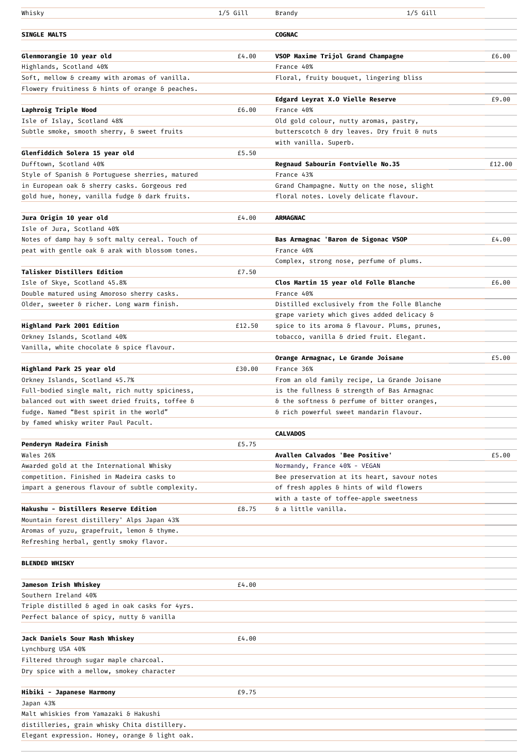| Whisky                                                                         | $1/5$ Gill | $1/5$ Gill<br>Brandy                         |        |
|--------------------------------------------------------------------------------|------------|----------------------------------------------|--------|
|                                                                                |            |                                              |        |
| <b>SINGLE MALTS</b>                                                            |            | <b>COGNAC</b>                                |        |
| Glenmorangie 10 year old                                                       | £4.00      | VSOP Maxime Trijol Grand Champagne           | £6.00  |
| Highlands, Scotland 40%                                                        |            | France 40%                                   |        |
| Soft, mellow & creamy with aromas of vanilla.                                  |            | Floral, fruity bouquet, lingering bliss      |        |
| Flowery fruitiness & hints of orange & peaches.                                |            |                                              |        |
|                                                                                |            | Edgard Leyrat X.O Vielle Reserve             | £9.00  |
| Laphroig Triple Wood                                                           | £6.00      | France 40%                                   |        |
| Isle of Islay, Scotland 48%                                                    |            | Old gold colour, nutty aromas, pastry,       |        |
| Subtle smoke, smooth sherry, & sweet fruits                                    |            | butterscotch & dry leaves. Dry fruit & nuts  |        |
|                                                                                |            | with vanilla. Superb.                        |        |
| Glenfiddich Solera 15 year old                                                 | £5.50      |                                              |        |
| Dufftown, Scotland 40%                                                         |            | <b>Regnaud Sabourin Fontvielle No.35</b>     | £12.00 |
| Style of Spanish & Portuguese sherries, matured                                |            | France 43%                                   |        |
| in European oak & sherry casks. Gorgeous red                                   |            | Grand Champagne. Nutty on the nose, slight   |        |
| gold hue, honey, vanilla fudge & dark fruits.                                  |            | floral notes. Lovely delicate flavour.       |        |
|                                                                                |            |                                              |        |
| Jura Origin 10 year old                                                        | £4.00      | <b>ARMAGNAC</b>                              |        |
| Isle of Jura, Scotland 40%                                                     |            |                                              |        |
| Notes of damp hay & soft malty cereal. Touch of                                |            | Bas Armagnac 'Baron de Sigonac VSOP          | £4.00  |
| peat with gentle oak & arak with blossom tones.                                |            | France 40%                                   |        |
|                                                                                |            | Complex, strong nose, perfume of plums.      |        |
| <b>Talisker Distillers Edition</b>                                             | £7.50      |                                              |        |
| Isle of Skye, Scotland 45.8%                                                   |            | Clos Martin 15 year old Folle Blanche        | £6.00  |
| Double matured using Amoroso sherry casks.                                     |            | France 40%                                   |        |
| Older, sweeter & richer. Long warm finish.                                     |            | Distilled exclusively from the Folle Blanche |        |
|                                                                                |            | grape variety which gives added delicacy &   |        |
| Highland Park 2001 Edition                                                     | £12.50     | spice to its aroma & flavour. Plums, prunes, |        |
| Orkney Islands, Scotland 40%                                                   |            | tobacco, vanilla & dried fruit. Elegant.     |        |
| Vanilla, white chocolate & spice flavour.                                      |            |                                              |        |
|                                                                                |            | Orange Armagnac, Le Grande Joisane           | £5.00  |
| Highland Park 25 year old                                                      | £30.00     | France 36%                                   |        |
| Orkney Islands, Scotland 45.7%                                                 |            | From an old family recipe, La Grande Joisane |        |
| Full-bodied single malt, rich nutty spiciness,                                 |            | is the fullness & strength of Bas Armagnac   |        |
| balanced out with sweet dried fruits, toffee &                                 |            | & the softness & perfume of bitter oranges,  |        |
| fudge. Named "Best spirit in the world"<br>by famed whisky writer Paul Pacult. |            | & rich powerful sweet mandarin flavour.      |        |
|                                                                                |            | <b>CALVADOS</b>                              |        |
| Penderyn Madeira Finish                                                        | £5.75      |                                              |        |
| Wales 26%                                                                      |            | Avallen Calvados 'Bee Positive'              | £5.00  |
| Awarded gold at the International Whisky                                       |            | Normandy, France 40% - VEGAN                 |        |
| competition. Finished in Madeira casks to                                      |            | Bee preservation at its heart, savour notes  |        |
| impart a generous flavour of subtle complexity.                                |            | of fresh apples & hints of wild flowers      |        |
|                                                                                |            | with a taste of toffee-apple sweetness       |        |
| Hakushu - Distillers Reserve Edition                                           | £8.75      | & a little vanilla.                          |        |
| Mountain forest distillery' Alps Japan 43%                                     |            |                                              |        |
| Aromas of yuzu, grapefruit, lemon & thyme.                                     |            |                                              |        |
| Refreshing herbal, gently smoky flavor.                                        |            |                                              |        |
|                                                                                |            |                                              |        |
| <b>BLENDED WHISKY</b>                                                          |            |                                              |        |
|                                                                                |            |                                              |        |
| Jameson Irish Whiskey                                                          | £4.00      |                                              |        |
| Southern Ireland 40%                                                           |            |                                              |        |
| Triple distilled & aged in oak casks for 4yrs.                                 |            |                                              |        |
| Perfect balance of spicy, nutty & vanilla                                      |            |                                              |        |
|                                                                                |            |                                              |        |
| Jack Daniels Sour Mash Whiskey                                                 | £4.00      |                                              |        |
| Lynchburg USA 40%                                                              |            |                                              |        |
| Filtered through sugar maple charcoal.                                         |            |                                              |        |
| Dry spice with a mellow, smokey character                                      |            |                                              |        |
|                                                                                |            |                                              |        |
| Hibiki - Japanese Harmony                                                      | £9.75      |                                              |        |
| Japan 43%                                                                      |            |                                              |        |
| Malt whiskies from Yamazaki & Hakushi                                          |            |                                              |        |
| distilleries, grain whisky Chita distillery.                                   |            |                                              |        |
| Elegant expression. Honey, orange & light oak.                                 |            |                                              |        |